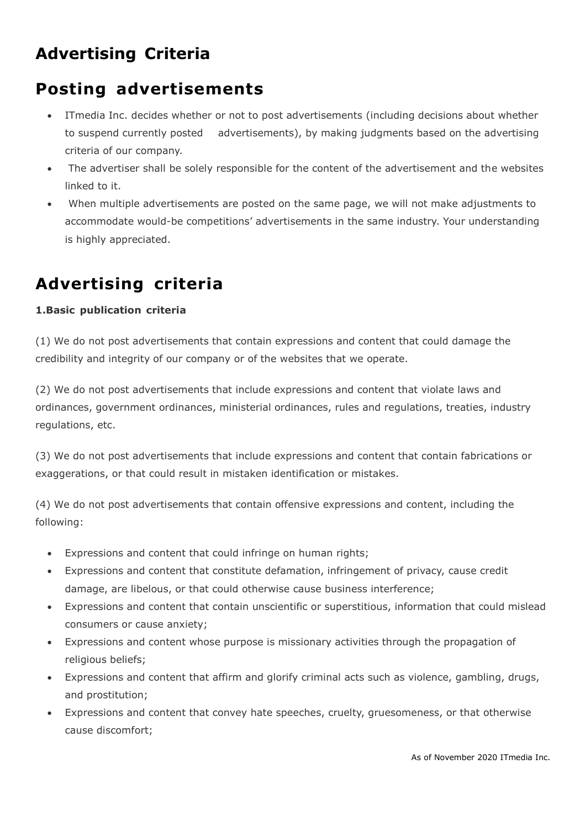# **Advertising Criteria**

### **Posting advertisements**

- ITmedia Inc. decides whether or not to post advertisements (including decisions about whether to suspend currently posted advertisements), by making judgments based on the advertising criteria of our company.
- The advertiser shall be solely responsible for the content of the advertisement and the websites linked to it.
- When multiple advertisements are posted on the same page, we will not make adjustments to accommodate would-be competitions' advertisements in the same industry. Your understanding is highly appreciated.

## **Advertising criteria**

#### **1.Basic publication criteria**

(1) We do not post advertisements that contain expressions and content that could damage the credibility and integrity of our company or of the websites that we operate.

(2) We do not post advertisements that include expressions and content that violate laws and ordinances, government ordinances, ministerial ordinances, rules and regulations, treaties, industry regulations, etc.

(3) We do not post advertisements that include expressions and content that contain fabrications or exaggerations, or that could result in mistaken identification or mistakes.

(4) We do not post advertisements that contain offensive expressions and content, including the following:

- Expressions and content that could infringe on human rights;
- Expressions and content that constitute defamation, infringement of privacy, cause credit damage, are libelous, or that could otherwise cause business interference;
- Expressions and content that contain unscientific or superstitious, information that could mislead consumers or cause anxiety;
- Expressions and content whose purpose is missionary activities through the propagation of religious beliefs;
- Expressions and content that affirm and glorify criminal acts such as violence, gambling, drugs, and prostitution;
- Expressions and content that convey hate speeches, cruelty, gruesomeness, or that otherwise cause discomfort;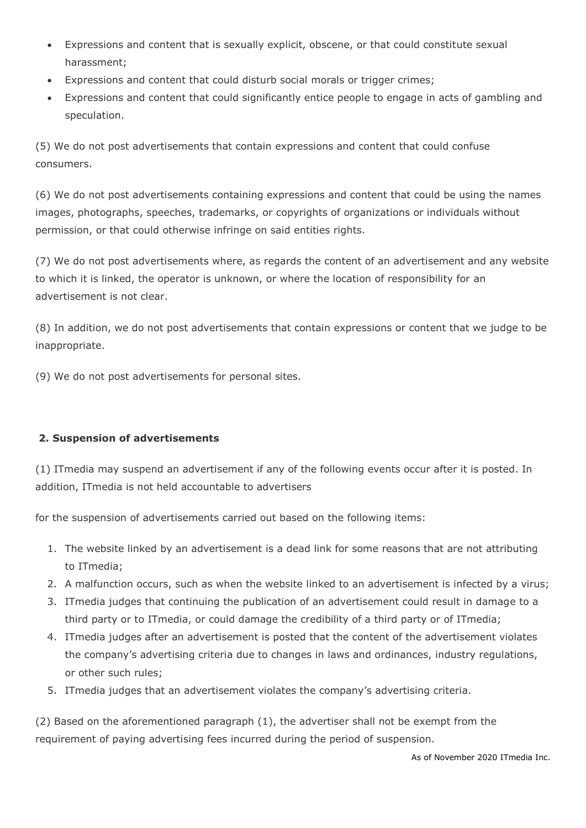- Expressions and content that is sexually explicit, obscene, or that could constitute sexual harassment;
- Expressions and content that could disturb social morals or trigger crimes;
- Expressions and content that could significantly entice people to engage in acts of gambling and speculation.

(5) We do not post advertisements that contain expressions and content that could confuse consumers.

(6) We do not post advertisements containing expressions and content that could be using the names images, photographs, speeches, trademarks, or copyrights of organizations or individuals without permission, or that could otherwise infringe on said entities rights.

(7) We do not post advertisements where, as regards the content of an advertisement and any website to which it is linked, the operator is unknown, or where the location of responsibility for an advertisement is not clear.

(8) In addition, we do not post advertisements that contain expressions or content that we judge to be inappropriate.

(9) We do not post advertisements for personal sites.

#### **2. Suspension of advertisements**

(1) ITmedia may suspend an advertisement if any of the following events occur after it is posted. In addition, ITmedia is not held accountable to advertisers

for the suspension of advertisements carried out based on the following items:

- 1. The website linked by an advertisement is a dead link for some reasons that are not attributing to ITmedia;
- 2. A malfunction occurs, such as when the website linked to an advertisement is infected by a virus;
- 3. ITmedia judges that continuing the publication of an advertisement could result in damage to a third party or to ITmedia, or could damage the credibility of a third party or of ITmedia;
- 4. ITmedia judges after an advertisement is posted that the content of the advertisement violates the company's advertising criteria due to changes in laws and ordinances, industry regulations, or other such rules;
- 5. ITmedia judges that an advertisement violates the company's advertising criteria.

(2) Based on the aforementioned paragraph (1), the advertiser shall not be exempt from the requirement of paying advertising fees incurred during the period of suspension.